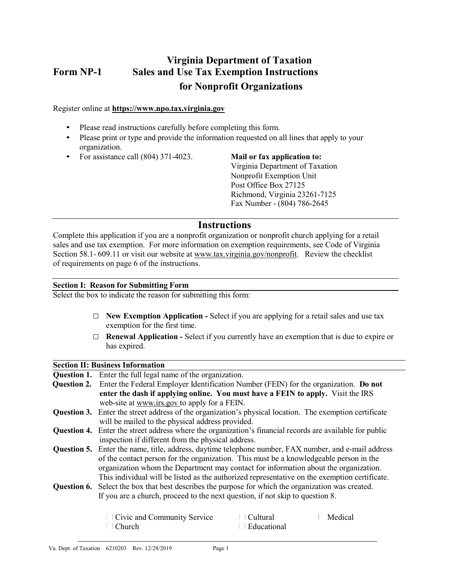# **Virginia Department of Taxation Form NP-1 Sales and Use Tax Exemption Instructions for Nonprofit Organizations**

Register online at **[https://www.npo.tax.virginia.gov](https://www.npo.tax.virginia.gov/)**

- Please read instructions carefully before completing this form.
- Please print or type and provide the information requested on all lines that apply to your organization.
- For assistance call (804) 371-4023. **Mail or fax application to:**

Virginia Department of Taxation Nonprofit Exemption Unit Post Office Box 27125 Richmond, Virginia 23261-7125 Fax Number - (804) 786-2645

# **Instructions**

Complete this application if you are a nonprofit organization or nonprofit church applying for a retail sales and use tax exemption. For more information on exemption requirements, see Code of Virginia Section 58.1- 609.11 or visit our website a[t www.tax.virginia.gov/nonprofit.](http://www.tax.virginia.gov/nonprofit) Review the checklist of requirements on page 6 of the instructions.

# **Section I: Reason for Submitting Form**

Select the box to indicate the reason for submitting this form:

- □ **New Exemption Application** Select if you are applying for a retail sales and use tax exemption for the first time.
- □ **Renewal Application** Select if you currently have an exemption that is due to expire or has expired.

# **Section II: Business Information**

**Question 1.** Enter the full legal name of the organization.

**Question 2.** Enter the Federal Employer Identification Number (FEIN) for the organization. **Do not enter the dash if applying online. You must have a FEIN to apply.** Visit the IRS web-site at www.irs.gov to apply for a FEIN. **Question 3.** Enter the street address of the organization's physical location. The exemption certificate will be mailed to the physical address provided. **Question 4.** Enter the street address where the organization's financial records are available for public inspection if different from the physical address. **Question 5.** Enter the name, title, address, daytime telephone number, FAX number, and e-mail address of the contact person for the organization. This must be a knowledgeable person in the organization whom the Department may contact for information about the organization. This individual will be listed as the authorized representative on the exemption certificate. **Question 6.** Select the box that best describes the purpose for which the organization was created. If you are a church, proceed to the next question, if not skip to question 8.

| Civic and Community Service | Cultural                   | l Medical |
|-----------------------------|----------------------------|-----------|
| ∣ Church                    | $\blacksquare$ Educational |           |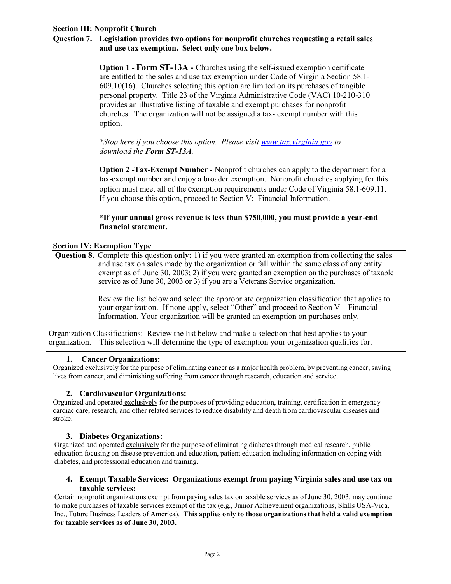# **Question 7. Legislation provides two options for nonprofit churches requesting a retail sales and use tax exemption. Select only one box below.**

**Option 1** - **Form ST-13A -** Churches using the self-issued exemption certificate are entitled to the sales and use tax exemption under Code of Virginia Section 58.1- 609.10(16). Churches selecting this option are limited on its purchases of tangible personal property. Title 23 of the Virginia Administrative Code (VAC) 10-210-310 provides an illustrative listing of taxable and exempt purchases for nonprofit churches. The organization will not be assigned a tax- exempt number with this option.

*\*Stop here if you choose this option. Please visit [www.tax.virginia.gov](http://www.tax.virginia.gov/) to download the Form ST-13A.*

**Option 2** -**Tax-Exempt Number -** Nonprofit churches can apply to the department for a tax-exempt number and enjoy a broader exemption. Nonprofit churches applying for this option must meet all of the exemption requirements under Code of Virginia 58.1-609.11. If you choose this option, proceed to Section V: Financial Information.

# **\*If your annual gross revenue is less than \$750,000, you must provide a year-end financial statement.**

# **Section IV: Exemption Type**

**Question 8.** Complete this question **only:** 1) if you were granted an exemption from collecting the sales and use tax on sales made by the organization or fall within the same class of any entity exempt as of June 30, 2003; 2) if you were granted an exemption on the purchases of taxable service as of June 30, 2003 or 3) if you are a Veterans Service organization.

> Review the list below and select the appropriate organization classification that applies to your organization. If none apply, select "Other" and proceed to Section V – Financial Information. Your organization will be granted an exemption on purchases only.

Organization Classifications: Review the list below and make a selection that best applies to your organization. This selection will determine the type of exemption your organization qualifies for.

# **1. Cancer Organizations:**

Organized exclusively for the purpose of eliminating cancer as a major health problem, by preventing cancer, saving lives from cancer, and diminishing suffering from cancer through research, education and service.

# **2. Cardiovascular Organizations:**

Organized and operated exclusively for the purposes of providing education, training, certification in emergency cardiac care, research, and other related services to reduce disability and death from cardiovascular diseases and stroke.

# **3. Diabetes Organizations:**

Organized and operated exclusively for the purpose of eliminating diabetes through medical research, public education focusing on disease prevention and education, patient education including information on coping with diabetes, and professional education and training.

# **4. Exempt Taxable Services: Organizations exempt from paying Virginia sales and use tax on taxable services:**

Certain nonprofit organizations exempt from paying sales tax on taxable services as of June 30, 2003, may continue to make purchases of taxable services exempt of the tax (e.g., Junior Achievement organizations, Skills USA-Vica, Inc., Future Business Leaders of America). **This applies only to those organizations that held a valid exemption for taxable services as of June 30, 2003.**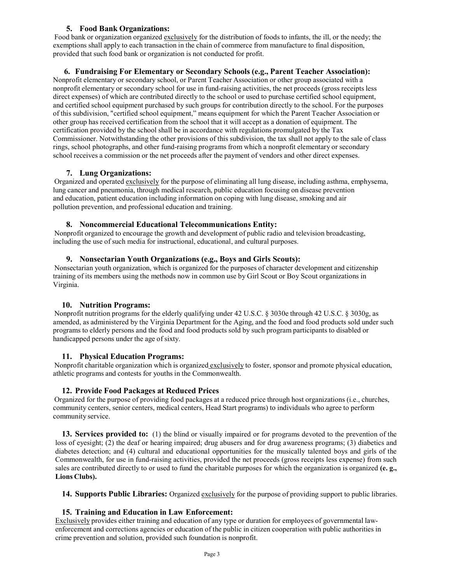# **5. Food Bank Organizations:**

Food bank or organization organized exclusively for the distribution of foods to infants, the ill, or the needy; the exemptions shall apply to each transaction in the chain of commerce from manufacture to final disposition, provided that such food bank or organization is not conducted for profit.

#### **6. Fundraising For Elementary or Secondary Schools (e.g., Parent Teacher Association):**

Nonprofit elementary or secondary school, or Parent Teacher Association or other group associated with a nonprofit elementary or secondary school for use in fund-raising activities, the net proceeds (gross receipts less direct expenses) of which are contributed directly to the school or used to purchase certified school equipment, and certified school equipment purchased by such groups for contribution directly to the school. For the purposes of this subdivision, "certified school equipment," means equipment for which the Parent Teacher Association or other group has received certification from the school that it will accept as a donation of equipment. The certification provided by the school shall be in accordance with regulations promulgated by the Tax Commissioner. Notwithstanding the other provisions of this subdivision, the tax shall not apply to the sale of class rings, school photographs, and other fund-raising programs from which a nonprofit elementary or secondary school receives a commission or the net proceeds after the payment of vendors and other direct expenses.

### **7. Lung Organizations:**

Organized and operated exclusively for the purpose of eliminating all lung disease, including asthma, emphysema, lung cancer and pneumonia, through medical research, public education focusing on disease prevention and education, patient education including information on coping with lung disease, smoking and air pollution prevention, and professional education and training.

### **8. Noncommercial Educational Telecommunications Entity:**

Nonprofit organized to encourage the growth and development of public radio and television broadcasting, including the use of such media for instructional, educational, and cultural purposes.

### **9. Nonsectarian Youth Organizations (e.g., Boys and Girls Scouts):**

Nonsectarian youth organization, which is organized for the purposes of character development and citizenship training of its members using the methods now in common use by Girl Scout or Boy Scout organizations in Virginia.

# **10. Nutrition Programs:**

Nonprofit nutrition programs for the elderly qualifying under 42 U.S.C. § 3030e through 42 U.S.C. § 3030g, as amended, as administered by the Virginia Department for the Aging, and the food and food products sold under such programs to elderly persons and the food and food products sold by such program participants to disabled or handicapped persons under the age of sixty.

#### **11. Physical Education Programs:**

Nonprofit charitable organization which is organized exclusively to foster, sponsor and promote physical education, athletic programs and contests for youths in the Commonwealth.

#### **12. Provide Food Packages at Reduced Prices**

Organized for the purpose of providing food packages at a reduced price through host organizations (i.e., churches, community centers, senior centers, medical centers, Head Start programs) to individuals who agree to perform community service.

**13. Services provided to:** (1) the blind or visually impaired or for programs devoted to the prevention of the loss of eyesight; (2) the deaf or hearing impaired; drug abusers and for drug awareness programs; (3) diabetics and diabetes detection; and (4) cultural and educational opportunities for the musically talented boys and girls of the Commonwealth, for use in fund-raising activities, provided the net proceeds (gross receipts less expense) from such sales are contributed directly to or used to fund the charitable purposes for which the organization is organized **(e. g., Lions Clubs).**

**14. Supports Public Libraries:** Organized exclusively for the purpose of providing support to public libraries.

#### **15. Training and Education in Law Enforcement:**

Exclusively provides either training and education of any type or duration for employees of governmental lawenforcement and corrections agencies or education of the public in citizen cooperation with public authorities in crime prevention and solution, provided such foundation is nonprofit.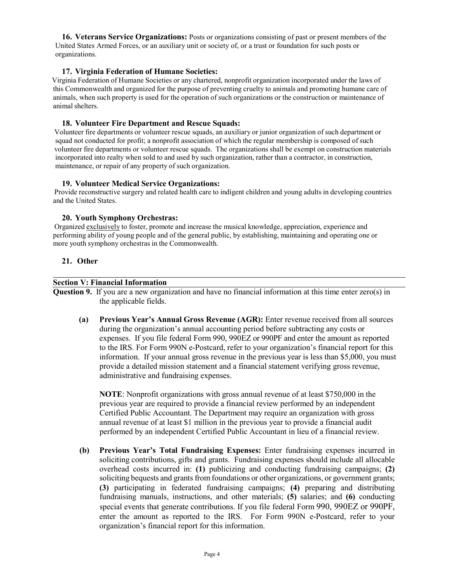**16. Veterans Service Organizations:** Posts or organizations consisting of past or present members of the United States Armed Forces, or an auxiliary unit or society of, or a trust or foundation for such posts or organizations.

### **17. Virginia Federation of Humane Societies:**

Virginia Federation of Humane Societies or any chartered, nonprofit organization incorporated under the laws of this Commonwealth and organized for the purpose of preventing cruelty to animals and promoting humane care of animals, when such property is used for the operation of such organizations or the construction or maintenance of animal shelters.

#### **18. Volunteer Fire Department and Rescue Squads:**

Volunteer fire departments or volunteer rescue squads, an auxiliary or junior organization of such department or squad not conducted for profit; a nonprofit association of which the regular membership is composed of such volunteer fire departments or volunteer rescue squads. The organizations shall be exempt on construction materials incorporated into realty when sold to and used by such organization, rather than a contractor, in construction, maintenance, or repair of any property of such organization.

### **19. Volunteer Medical Service Organizations:**

Provide reconstructive surgery and related health care to indigent children and young adults in developing countries and the United States.

### **20. Youth Symphony Orchestras:**

Organized exclusively to foster, promote and increase the musical knowledge, appreciation, experience and performing ability of young people and of the general public, by establishing, maintaining and operating one or more youth symphony orchestras in the Commonwealth.

### **21. Other**

#### **Section V: Financial Information**

**Question 9.** If you are a new organization and have no financial information at this time enter zero(s) in the applicable fields.

**(a) Previous Year's Annual Gross Revenue (AGR):** Enter revenue received from all sources during the organization's annual accounting period before subtracting any costs or expenses. If you file federal Form 990, 990EZ or 990PF and enter the amount as reported to the IRS. For Form 990N e-Postcard, refer to your organization's financial report for this information. If your annual gross revenue in the previous year is less than \$5,000, you must provide a detailed mission statement and a financial statement verifying gross revenue, administrative and fundraising expenses.

**NOTE**: Nonprofit organizations with gross annual revenue of at least \$750,000 in the previous year are required to provide a financial review performed by an independent Certified Public Accountant. The Department may require an organization with gross annual revenue of at least \$1 million in the previous year to provide a financial audit performed by an independent Certified Public Accountant in lieu of a financial review.

**(b) Previous Year's Total Fundraising Expenses:** Enter fundraising expenses incurred in soliciting contributions, gifts and grants. Fundraising expenses should include all allocable overhead costs incurred in: **(1)** publicizing and conducting fundraising campaigns; **(2)**  soliciting bequests and grants from foundations or other organizations, or government grants; **(3)** participating in federated fundraising campaigns; **(4)** preparing and distributing fundraising manuals, instructions, and other materials; **(5)** salaries; and **(6)** conducting special events that generate contributions. If you file federal Form 990, 990EZ or 990PF, enter the amount as reported to the IRS. For Form 990N e-Postcard, refer to your organization's financial report for this information.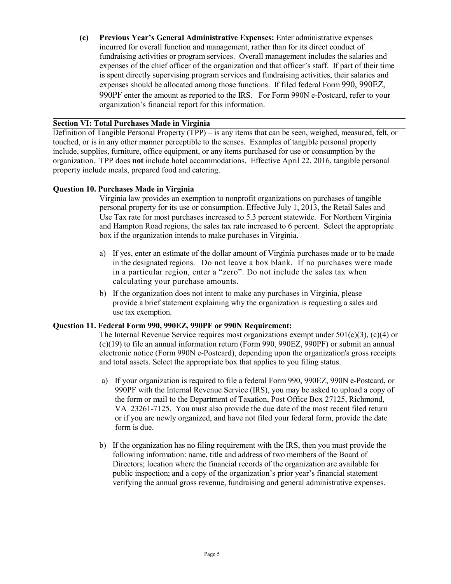**(c) Previous Year's General Administrative Expenses:** Enter administrative expenses incurred for overall function and management, rather than for its direct conduct of fundraising activities or program services. Overall management includes the salaries and expenses of the chief officer of the organization and that officer's staff. If part of their time is spent directly supervising program services and fundraising activities, their salaries and expenses should be allocated among those functions. If filed federal Form 990, 990EZ, 990PF enter the amount as reported to the IRS. For Form 990N e-Postcard, refer to your organization's financial report for this information.

# **Section VI: Total Purchases Made in Virginia**

Definition of Tangible Personal Property (TPP) – is any items that can be seen, weighed, measured, felt, or touched, or is in any other manner perceptible to the senses. Examples of tangible personal property include, supplies, furniture, office equipment, or any items purchased for use or consumption by the organization. TPP does **not** include hotel accommodations. Effective April 22, 2016, tangible personal property include meals, prepared food and catering.

# **Question 10. Purchases Made in Virginia**

Virginia law provides an exemption to nonprofit organizations on purchases of tangible personal property for its use or consumption. Effective July 1, 2013, the Retail Sales and Use Tax rate for most purchases increased to 5.3 percent statewide. For Northern Virginia and Hampton Road regions, the sales tax rate increased to 6 percent. Select the appropriate box if the organization intends to make purchases in Virginia.

- a) If yes, enter an estimate of the dollar amount of Virginia purchases made or to be made in the designated regions. Do not leave a box blank. If no purchases were made in a particular region, enter a "zero". Do not include the sales tax when calculating your purchase amounts.
- b) If the organization does not intent to make any purchases in Virginia, please provide a brief statement explaining why the organization is requesting a sales and use tax exemption.

# **Question 11. Federal Form 990, 990EZ, 990PF or 990N Requirement:**

The Internal Revenue Service requires most organizations exempt under  $501(c)(3)$ ,  $(c)(4)$  or (c)(19) to file an annual information return (Form 990, 990EZ, 990PF) or submit an annual electronic notice (Form 990N e-Postcard), depending upon the organization's gross receipts and total assets. Select the appropriate box that applies to you filing status.

- a) If your organization is required to file a federal Form 990, 990EZ, 990N e-Postcard, or 990PF with the Internal Revenue Service (IRS), you may be asked to upload a copy of the form or mail to the Department of Taxation, Post Office Box 27125, Richmond, VA 23261-7125. You must also provide the due date of the most recent filed return or if you are newly organized, and have not filed your federal form, provide the date form is due.
- b) If the organization has no filing requirement with the IRS, then you must provide the following information: name, title and address of two members of the Board of Directors; location where the financial records of the organization are available for public inspection; and a copy of the organization's prior year's financial statement verifying the annual gross revenue, fundraising and general administrative expenses.